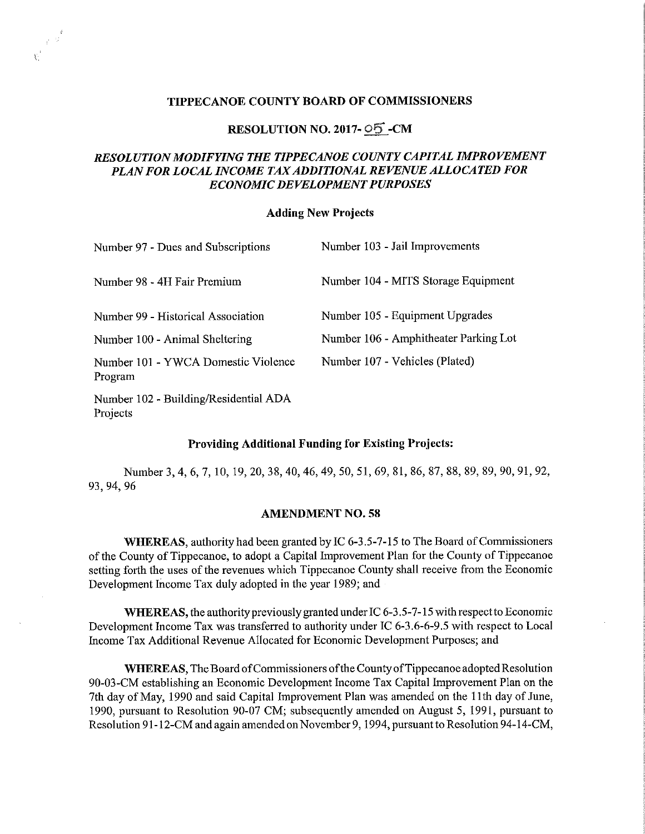## TIPPECANOE COUNTY BOARD OF COMMISSIONERS

# RESOLUTION NO. 2017- OS -CM

# RESOLUTION MODIFYING THE TIPPECANOE COUNTY CAPITAL IMPROVEMENT PLAN FOR LOCAL INCOME TAXADDITIONAL REVENUE ALLOCATED FOR ECONOMIC DEVELOPMENT PURPOSES

### Adding New Projects

| Number 97 - Dues and Subscriptions             | Number 103 - Jail Improvements        |
|------------------------------------------------|---------------------------------------|
| Number 98 - 4H Fair Premium                    | Number 104 - MITS Storage Equipment   |
| Number 99 - Historical Association             | Number 105 - Equipment Upgrades       |
| Number 100 - Animal Sheltering                 | Number 106 - Amphitheater Parking Lot |
| Number 101 - YWCA Domestic Violence<br>Program | Number 107 - Vehicles (Plated)        |

Number 102 - Building/Residential ADA Projects

 $\mathbb{R}^3$ 

## Providing Additional Funding for Existing Projects:

Number 3, 4, 6, 7, 10, 19, 20, 38, 40, 46, 49, 50, 51, 69, 81, 86, 87, 88, 89, 89, 90, 91, 92, 93, 94, 96

#### AMENDMENT NO. 58

WHEREAS, authority had been granted by IC 6-3.5-7-15 to The Board of Commissioners of the County of Tippecanoe, to adopt <sup>a</sup> Capital Improvement Plan for the County of Tippecanoe setting forth the uses of the revenues which Tippecanoe County shall receive from the Economic Development Income Tax duly adopted in the year 1989; and

WHEREAS, the authority previously granted under IC  $6-3.5-7-15$  with respect to Economic Development Income Tax was transferred to authority under IC 6—3.6-6—9.5 with respect to Local Income Tax Additional Revenue Allocated for Economic Development Purposes; and

WHEREAS, The Board of Commissioners of the County of Tippecanoe adopted Resolution 90-03-CM establishing an Economic Development Income Tax Capital Improvement Plan on the 7th day of May, 1990 and said Capital Improvement Plan was amended on the 11th day of June, 1990, pursuant to Resolution 90-07 CM; subsequently amended on August 5, 1991, pursuant to Resolution 91-12-CM and again amended on November 9, 1994, pursuant to Resolution 94-14-CM,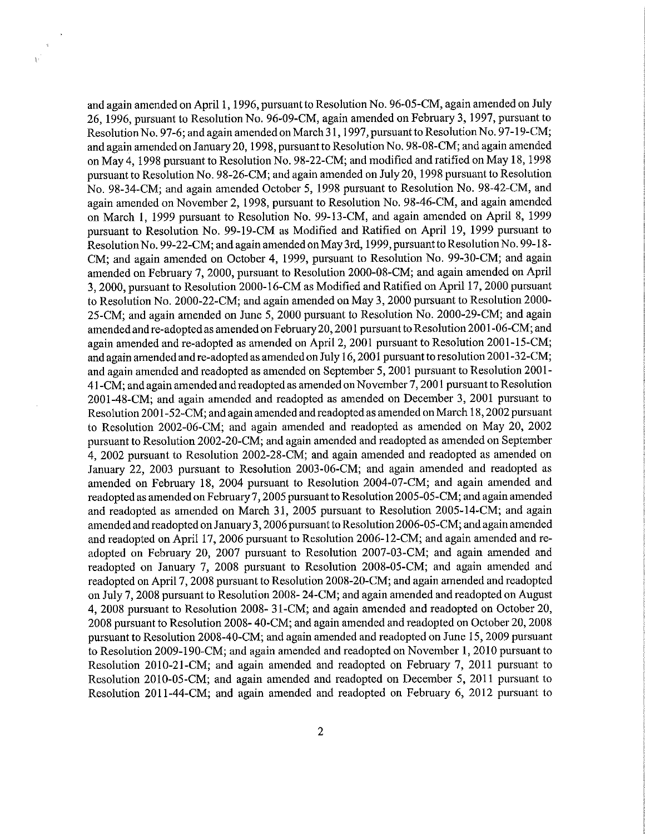and again amended on April 1, 1996, pursuant to Resolution No. 96-05-CM, again amended on July 26, 1996, pursuant to Resolution No. 96-09-CM, again amended on February 3, 1997, pursuant to Resolution No. 97—6; and again amended on March <sup>3</sup> l, l997, pursuant to Resolution No. 97-19-CM; and again amended on January 20, 1998, pursuant to Resolution No. 98-08-CM; and again amended on May 4, <sup>1998</sup> pursuant to Resolution No. 98-22-CM; and modified and ratified on May 18, <sup>1998</sup> pursuant to Resolution No. 98-26-CM; and again amended on July 20, <sup>1998</sup> pursuant to Resolution No. 98-34-CM; and again amended October 5, <sup>1998</sup> pursuant to Resolution No. 98~42~CM, and again amended on November 2, 1998, pursuant to Resolution No. 98-46-CM, and again amended on March 1, 1999 pursuant to Resolution No. 99-13-CM, and again amended on April 8, 1999 pursuant to Resolution No. 99-19-CM as Modified and Ratified on April 19, 1999 pursuant to ResolutionNo. 99-22-CM; and again amended on May 3rd, 1999, pursuant to ResolutionNo. 99-18- CM; and again amended on October 4, 1999, pursuant to Resolution No.99~30-CM; and again amended on February 7, 2000, pursuant to Resolution 2000-08-CM; and again amended on April 3, 2000, pursuant to Resolution 2000-16-CM as Modified and Ratified on April 17, <sup>2000</sup> pursuant to Resolution No. 2000-22-CM; and again amended on May 3, <sup>2000</sup> pursuant to Resolution 2000~ 25-CM; and again amended on June 5, 2000 pursuant to Resolution No. 2000-29-CM; and again amended and re-adopted as amended on February 20, 2001 pursuant to Resolution 2001-06-CM; and again amended and re-adopted as amended on April 2, <sup>2001</sup> pursuant to Resolution 2001~15-CM; and again amended and re-adopted as amended on July 16, <sup>2001</sup> pursuant to resolution 2001-32-CM; and again amended and readopted as amended on September 5, <sup>2001</sup> pursuant to Resolution 2001- 41-CM; and again amended and readopted as amended on November 7, <sup>2001</sup> pursuant to Resolution 2001-48-CM; and again amended and readopted as amended on December 3, <sup>2001</sup> pursuant to Resolution 2001—52~CM; and again amended and readopted as amended on March 18, 2002 pursuant to Resolution 2002—06-CM; and again amended and readopted as amended on May 20,2002 pursuant to Resolution 2002-20-CM; and again amended and readopted as amended on September 4, <sup>2002</sup> pursuant to Resolution 2002—28-CM; and again amended and readopted as amended on January 22, <sup>2003</sup> pursuant to Resolution 2003-06-CM; and again amended and readopted as amended on February 18,<sup>2004</sup> pursuant to Resolution 2004~07-CM; and again amended and readopted as amended onFebruary 7, <sup>2005</sup> pursuant to Resolution 2005-05-CM; and again amended and readopted as amended on March 31, <sup>2005</sup> pursuant to Resolution 2005-14-CM; and again amended and readopted on January 3, <sup>2006</sup> pursuant to Resolution 2006-05~CM; and again amended and readopted on April 17, <sup>2006</sup> pursuant to Resolution 2006-12—CM; and again amended and readopted on February 20,<sup>2007</sup> pursuant to Resolution 2007-03-CM; and again amended and readopted on January 7, 2008 pursuant to Resolution 2008-05-CM; and again amended and readopted on April 7, 2008 pursuant to Resolution 2008-20-CM; and again amended and readopted on July 7, 2008 pursuant to Resolution 2008— 24-CM; and again amended and readopted on August 4, 2008 pursuant to Resolution 2008- 31—CM; and again amended and readopted on October 20, 2008 pursuant to Resolution 2008- 40-CM; and again amended and readopted on October 20, 2008 pursuant to Resolution 2008-40-CM; and again amended and readopted on June 15, 2009 pursuant to Resolution 2009-190-CM; and again amended and readopted on November 1, 2010 pursuant to Resolution 2010-21-CM; and again amended and readopted on February 7, 2011 pursuant to Resolution 2010-05-CM; and again amended and readopted on December 5, 2011 pursuant to Resolution 2011-44-CM; and again amended and readopted on February 6, 2012 pursuant to

 $\frac{1}{2}$  $\mathbf{r}$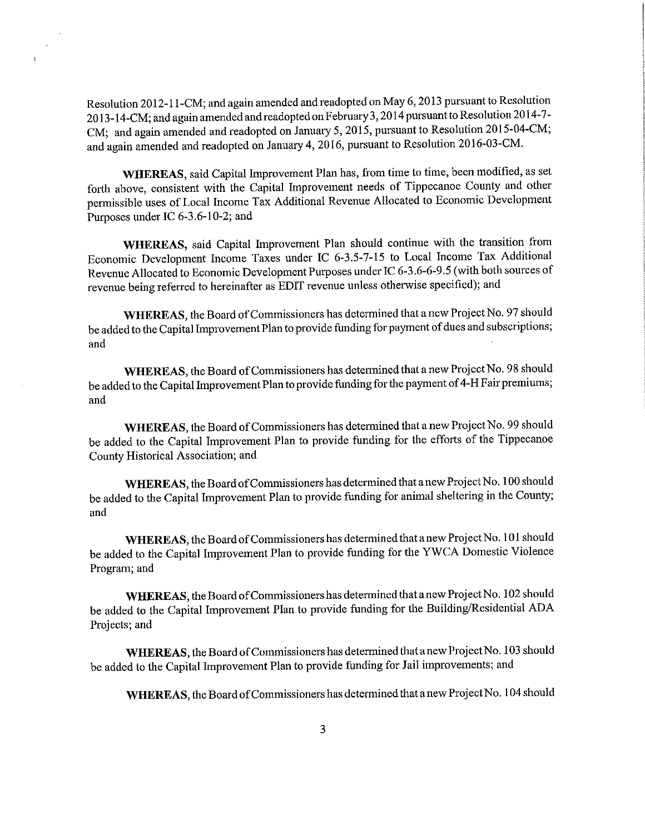Resolution 2012-1 l-CM; and again amended and readopted on May 6, <sup>2013</sup> pursuan<sup>t</sup> to Resolution 2013-14-CM; and again amended and readopted on February <sup>3</sup> , <sup>2014</sup> pursuan<sup>t</sup> to Resolution 2014-?- CM; and again amended and readopted on January <sup>5</sup>, 2015, pursuan<sup>t</sup> to Resolution 2015-04-CM; and again amended and readopted on January 4, 2016, pursuant to Resolution 2016-03-CM.

WHEREAS, said Capital Improvement Plan has, from time to time, been modified, as set forth above, consistent with the Capital Improvement needs of Tippecanoe County and other permissible uses of Local Income Tax Additional Revenue Allocated to Economic Development Purposes under IC 6-3.6-10-2; and

WHEREAS, said Capital Improvement Plan should continue with the transition from Economic Development Income Taxes under IC 6-3.5—7-15 to Local Income Tax Additional Revenue Allocated to Economic Development Purposes under IC 6-3 .6-6-9.5 (with both sources of revenue being referred to hereinafter as EDIT revenue unless otherwise specified); and

WHEREAS, the Board of Commissioners has determined that a new Project No. 97 should be added to the Capital Improvement Plan to provide funding for payment of dues and subscriptions; and  $\overline{\phantom{a}}$  and  $\overline{\phantom{a}}$  and  $\overline{\phantom{a}}$  and  $\overline{\phantom{a}}$  and  $\overline{\phantom{a}}$  and  $\overline{\phantom{a}}$  and  $\overline{\phantom{a}}$  and  $\overline{\phantom{a}}$  and  $\overline{\phantom{a}}$  and  $\overline{\phantom{a}}$  and  $\overline{\phantom{a}}$  and  $\overline{\phantom{a}}$  and  $\overline{\phantom{a}}$  and  $\overline{\phantom{a}}$ 

WHEREAS, the Board of Commissioners has determined that a new Project No. 98 should be added to the Capital Improvement Plan to provide funding for the payment of 4-H Fair premiums; and

WHEREAS, the Board of Commissioners has determined that a new Project No. 99 should be added to the Capital Improvement Plan to provide funding for the efforts of the Tippecanoe County Historical Association; and

WHEREAS, the Board of Commissioners has determined that a new Project No. 100 should be added to the Capital Improvement Plan to provide funding for animal sheltering in the County; and

WHEREAS, the Board of Commissioners has determined that a new Project No. 101 should be added to the Capital Improvement Plan to provide funding for the YWCA Domestic Violence Program; and

WHEREAS, the Board of Commissioners has determined that a new Project No. 102 should be added to the Capital Improvement Plan to provide funding for the Building/Residential ADA Projects; and

WHEREAS, the Board of Commissioners has determined that a new Project No. 103 should be added to the Capital Improvement Plan to provide funding for Jail improvements; and

WHEREAS, the Board of Commissioners has determined that a new Project No. 104 should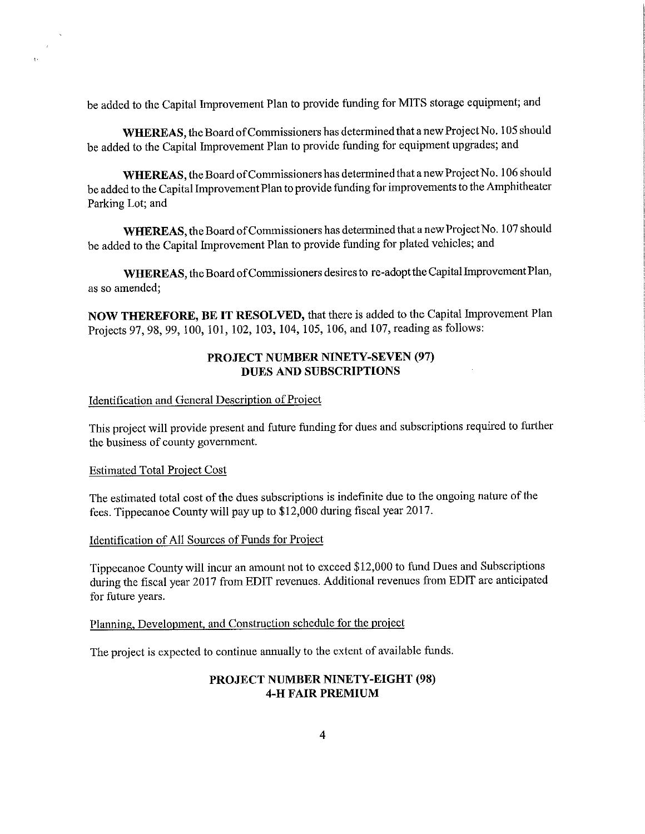be added to the Capital Improvement Plan to provide funding for MITS storage equipment; and

WHEREAS, the Board of Commissioners has determined that a new Project No. 105 should be added to the Capital Improvement Plan to provide funding for equipment upgrades; and

WHEREAS, the Board of Commissioners has determined that a new Project No. 106 should be added to the Capital Improvement Plan to provide funding for improvements to the Amphitheater Parking Lot; and

WHEREAS, the Board of Commissioners has determined that a new Project No. 107 should be added to the Capital Improvement Plan to provide funding for plated vehicles; and

WHEREAS, the Board of Commissioners desires to re-adopt the Capital Improvement Plan, as so amended;

NOW THEREFORE, BE IT RESOLVED, that there is added to the Capital Improvement Plan Projects 97, 98, 99, 100, 101, 102, 103, 104, 105, 106, and 107, reading as follows:

# PROJECT NUMBER NINETY—SEVEN (97) DUES AND SUBSCRIPTIONS

## Identification and General Description of Project

This project will provide present and future funding for dues and subscriptions required to further the business of county government.

#### Estimated Total Proiect Cost

 $\bar{J}$ 

The estimated total cost of the dues subscriptions is indefinite due to the ongoing nature of the fees. Tippecanoe County will pay up to \$12,000 during fiscal year 2017.

### Identification of All Sources of Funds for Project

Tippecanoe County will incur an amount not to exceed \$12,000 to fund Dues and Subscriptions during the fiscal year 2017 from EDIT revenues. Additional revenues from EDIT are anticipated for future years.

#### Planning, Development, and Construction schedule for the project

The project is expected to continue annually to the extent of available funds.

# PROJECT NUMBER NINETY-EIGHT (98) 4-H FAIR PREMIUM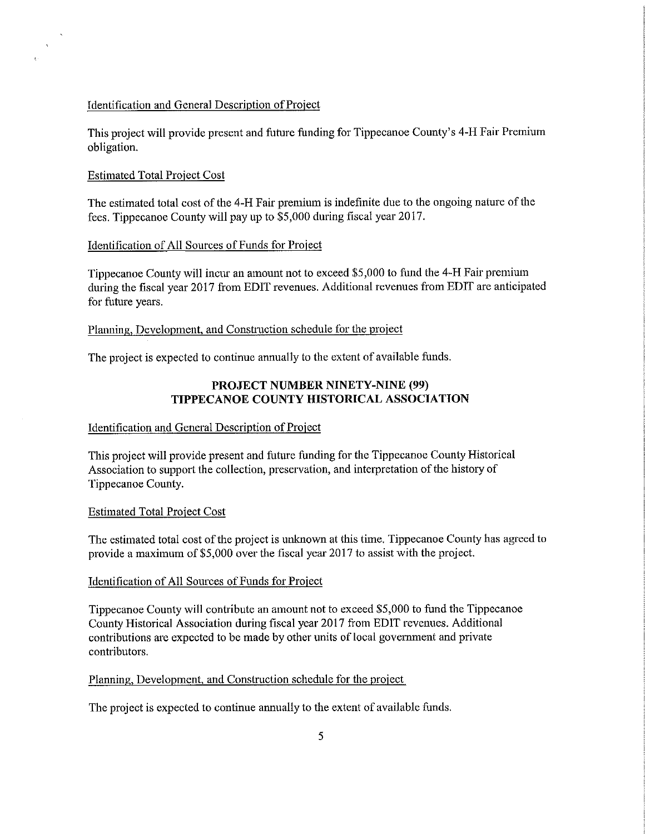#### Identification and General Description of Project

This project will provide present and future funding for Tippecanoe County's 4-H Fair Premium obligation.

## Estimated Total Project Cost

 $\hat{\lambda}$ 

The estimated total cost of the 4-H Fair premium is indefinite due to the ongoing nature of the fees. Tippecanoe County will pay up to \$5,000 during fiscal year 2017.

### Identification of All Sources of Funds for Project

Tippecanoe County will incur an amount not to exceed \$5,000 to fund the 4—H Fair premium during the fiscal year 20l7 from EDIT revenues. Additional revenues from EDIT are anticipated for future years.

### Planning, Development, and Construction schedule for the project

The project is expected to continue annually to the extent of available funds.

# PROJECT NUMBER NINETY—NINE (99) TIPPECANOE COUNTY HISTORICAL ASSOCIATION

#### Identification and General Description of Project

This project will provide present and future funding for the Tippecanoe County Historical Association to support the collection, preservation, and interpretation of the history of Tippecanoe County.

#### Estimated Total Proiect Cost

The estimated total cost of the project is unknown at this time. Tippecanoe County has agreed to provide <sup>a</sup> maximum of \$5,000 over the fiscal year 2017 to assist with the project.

#### Identification of All Sources of Funds for Project

Tippecanoe County will contribute an amount not to exceed \$5,000 to fund the Tippecanoe County Historical Association during fiscalyear <sup>2017</sup> fiom EDIT revenues. Additional contributions are expected to be made by other units of local government and private contributors.

### Planning, Development, and Construction schedule for the project

The project is expected to continue annually to the extent of available funds.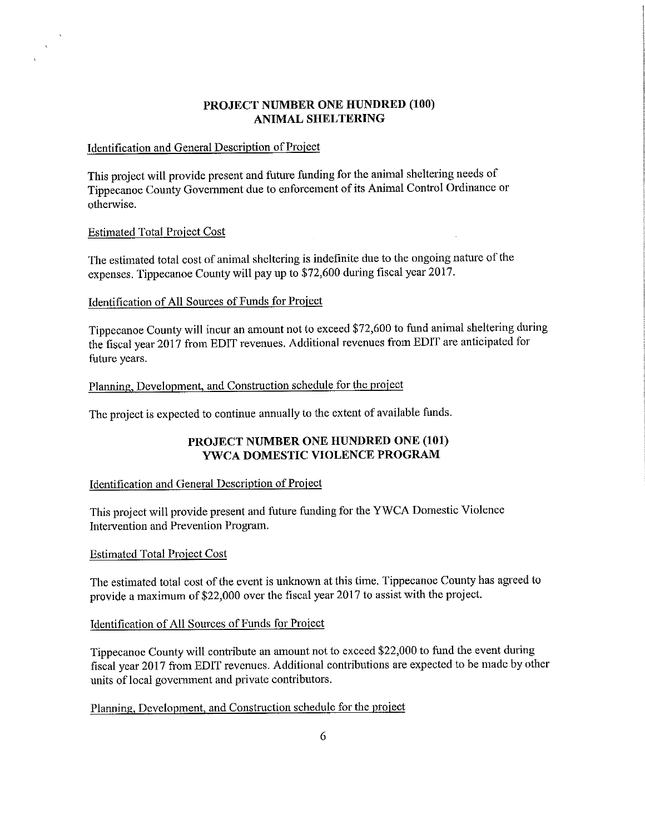# PROJECT NUMBER ONE HUNDRED (100) ANIMAL SHELTERING

### Identification and General Description of Project

This project will provide present and future funding for the animal sheltering needs of Tippecanoe County Government due to enforcement of its Animal Control Ordinance or otherwise.

## **Estimated Total Project Cost**

 $\Delta$ 

The estimated total cost of animal sheltering is indefinite due to the ongoing nature of the expenses. Tippecanoe County will pay up to \$72,600 during fiscal year 2017.

## Identification of All Sources of Funds for Project

Tippecanoe County will incur an amount not to exceed \$72,600 to fund animal sheltering during the fiscal year <sup>2017</sup> from EDIT revenues. Additional revenues from EDIT are anticipated for future years.

## Planning, Development, and Construction schedule for the project

The project is expected to continue annually to the extent of available funds.

# PROJECT NUMBER ONE HUNDRED ONE (101) YWCA DOMESTIC VIOLENCE PROGRAM

## Identification and General Description of Project

This project will provide present and future funding for the <sup>Y</sup> WCA Domestic Violence Intervention and Prevention Program.

### Estimated Total Proiect Cost

The estimated total cost of the event is unknown at this time. Tippecanoe County has agreed to provide <sup>a</sup> maximum of \$22,000 over the fiscal year <sup>2017</sup> to assist with the project.

### Identification of All Sources of Funds for Project

Tippecanoe County will contribute an amount not to exceed \$22,000 to fund the event during fiscal year <sup>2017</sup> from EDIT revenues. Additional contributions are expected to be made by other units of local governmen<sup>t</sup> and private contributors.

Planning, Development, and Construction schedule for the project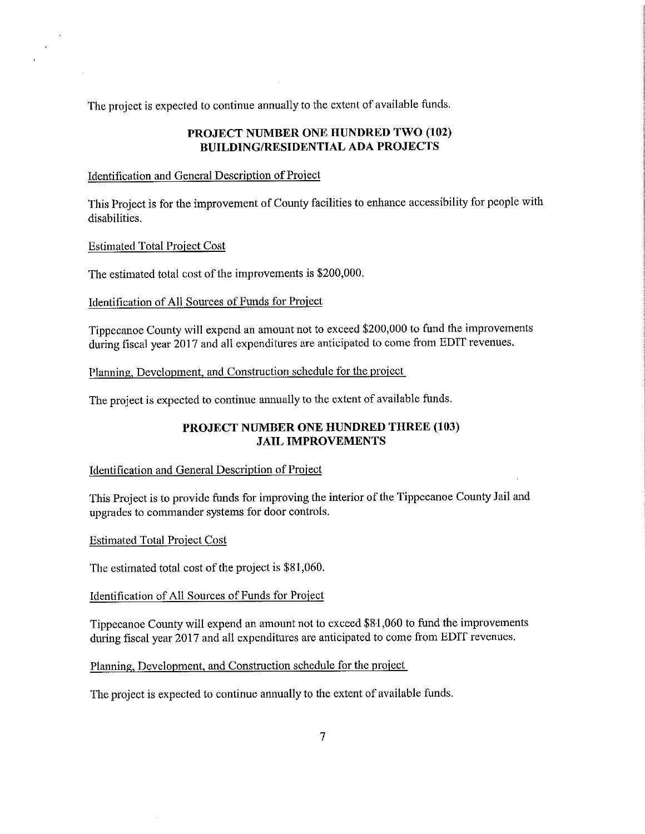The project is expected to continue annually to the extent of available funds.

## PROJECT NUMBER ONE HUNDRED TWO (102) BUILDING/RESIDENTIAL ADA PROJECTS

### Identification and General Description of Project

This Project is for the improvement of County facilities to enhance accessibility for people with disabilities.

Estimated Total Project Cost

 $\mathbf{v}$ 

The estimated total cost of the improvements is \$200,000.

Identification of All Sources of Funds for Project

Tippecanoe County will expend an amount not to exceed \$200,000 to fund the improvements during fiscal year <sup>2017</sup> and all expenditures are anticipated to come from EDIT revenues.

Planning, Development, and Construction schedule for the project

The project is expected to continue annually to the extent of available funds.

# PROJECT NUMBER ONE HUNDRED THREE (103) JAIL IMPROVEMENTS

### Identification and General Description of Project

This Project is to provide funds for improving the interior of the Tippecanoe County Jail and upgrades to commander systems for door controls.

Estimated Total Proiect Cost

The estimated total cost of the project is \$81,060.

Identification of All Sources of Funds for Project

Tippecanoe County will expend an amount not to exceed \$81,060 to fund the improvements during fiscal year 2017 and all expenditures are anticipated to come from EDIT revenues.

Planning, Development, and Construction schedule for the project

The project is expected to continue annually to the extent of available funds.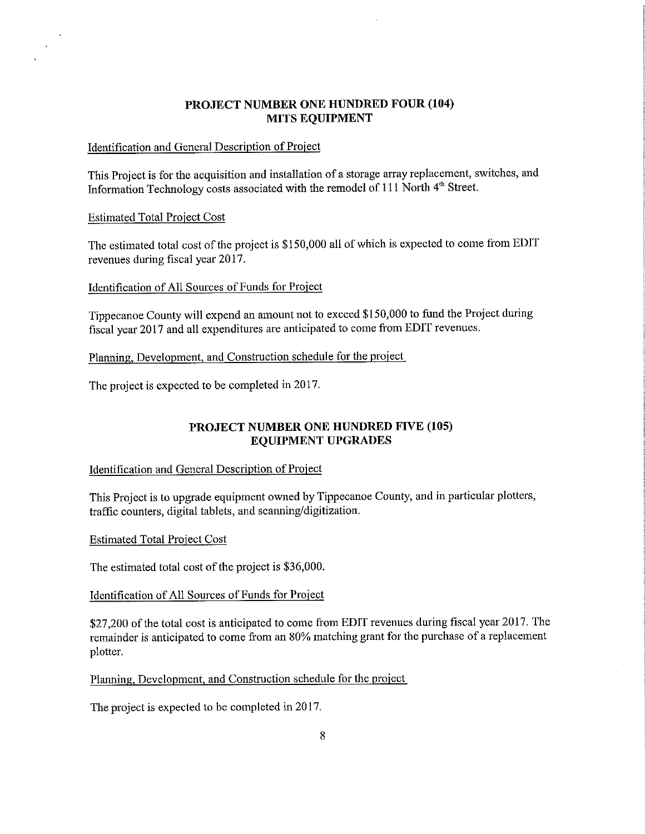# PROJECT NUMBER ONE HUNDRED FOUR (104) MITS EQUIPMENT

## Identification and General Description of Project

This Project is for the acquisition and installation of <sup>a</sup> storage array replacement, switches, and Information Technology costs associated with the remodel of 111 North 4<sup>th</sup> Street.

#### Estimated Total Proiect Cost

 $\mathbf{A}$ 

The estimated total cost of the project is \$150,000 all of which is expected to come from EDIT revenues during fiscal year 2017.

#### Identification of All Sources of Funds for Project

Tippecanoe County will expend an amount not to exceed \$150,000 to fund the Project during fiscal year <sup>2017</sup> and all expenditures are anticipated to come from EDIT revenues.

Planning, Development, and Construction schedule for the proiect

The project is expected to be completed in 2017.

# PROJECT NUMBER ONE HUNDRED FIVE (105) EQUIPMENT UPGRADES

### Identification and General Description of Project

This Project is to upgrade equipment owned by Tippecanoe County, and in particular plotters, traffic counters, digital tablets, and scanning/digitization.

Estimated Total Proiect Cost

The estimated total cost of the project is \$36,000.

#### Identification of All Sources of Funds for Project

\$27,200 of the total cost is anticipated to come from EDIT revenues during fiscal year 2017. The remainder is anticipated to come from an 80% matching grant for the purchase of <sup>a</sup> replacement plotter.

Planning, Development, and Construction schedule for the project

The project is expected to be completed in 2017.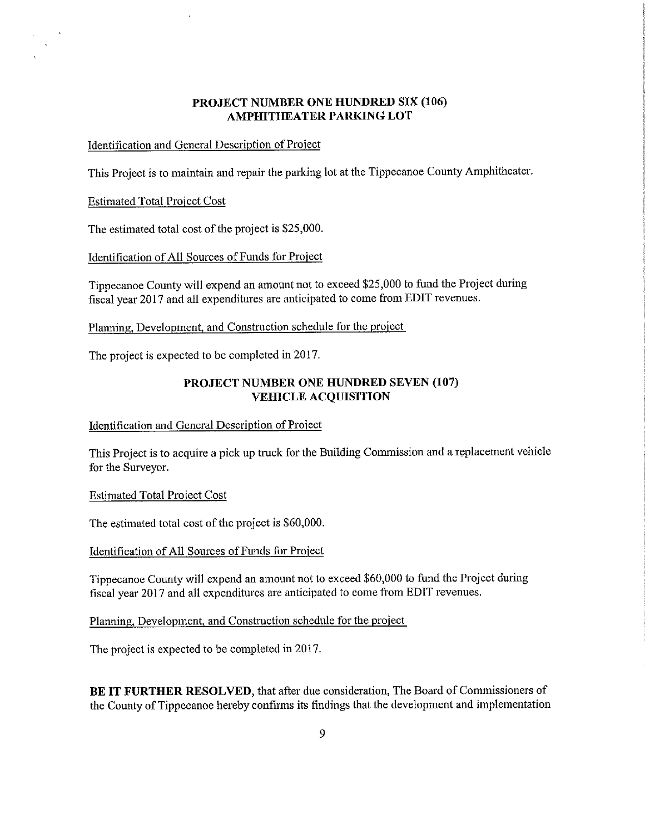# PROJECT NUMBER ONE HUNDRED SIX (106) AMPHITHEATER PARKING LOT

## Identification and General Description of Project

This Project is to maintain and repair the parking lot at the Tippecanoe County Amphitheater.

#### Estimated Total Proiect Cost

 $\Delta$ 

The estimated total cost of the project is \$25,000.

### Identification of All Sources of Funds for Project

Tippecanoe County will expend an amount not to exceed \$25,000 to fund the Project during fiscal year <sup>2017</sup> and all expenditures are anticipated to come from EDIT revenues.

# Planning, Development, and Construction schedule for the project

The project is expected to be completed in 2017.

## PROJECT NUMBER ONE HUNDRED SEVEN (107) VEHICLE ACQUISITION

## Identification and General Description of Project

This Project is to acquire <sup>a</sup> pick up truck for the Building Commission and <sup>a</sup> replacement vehicle for the Surveyor.

#### Estimated Total Project Cost

The estimated total cost of the project is \$60,000.

Identification of All Sources of Funds for Project

Tippecanoe County will expend an amount not to exceed \$60,000 to fund the Project during fiscal year <sup>2017</sup> and all expenditures are anticipated to come from EDIT revenues.

### Planning, Development, and Construction schedule for the project

The project is expected to be completed in 2017.

BE IT FURTHER RESOLVED, that after due consideration, The Board of Commissioners of the County of Tippecanoe hereby confirms its findings that the development and implementation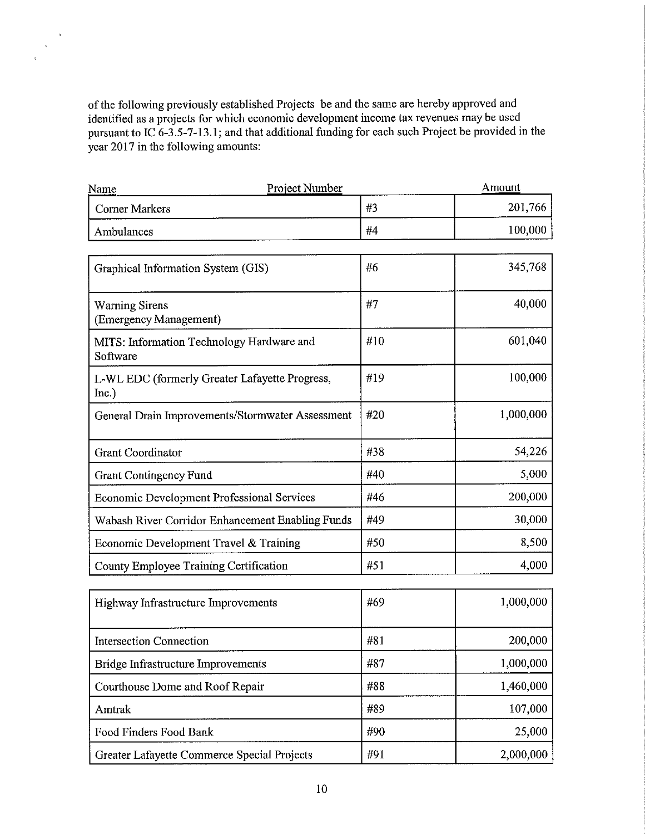of the following previously established Projects be and the same are hereby approved and identified as <sup>a</sup> projects for which economic development income tax revenues may be used pursuant to IC  $6-3.5-7-13.1$ ; and that additional funding for each such Project be provided in the year 2017 in the following amounts:

 $\epsilon$  $\bar{\lambda}$ 

| Project Number<br>Name                                  | Amount |           |  |  |
|---------------------------------------------------------|--------|-----------|--|--|
| <b>Corner Markers</b>                                   | #3     | 201,766   |  |  |
| Ambulances                                              | #4     | 100,000   |  |  |
| Graphical Information System (GIS)                      | #6     | 345,768   |  |  |
| <b>Warning Sirens</b><br>(Emergency Management)         | #7     | 40,000    |  |  |
| MITS: Information Technology Hardware and<br>Software   | #10    | 601,040   |  |  |
| L-WL EDC (formerly Greater Lafayette Progress,<br>Inc.) | #19    | 100,000   |  |  |
| General Drain Improvements/Stormwater Assessment        | #20    | 1,000,000 |  |  |
| <b>Grant Coordinator</b>                                | #38    | 54,226    |  |  |
| <b>Grant Contingency Fund</b>                           | #40    | 5,000     |  |  |
| <b>Economic Development Professional Services</b>       | #46    | 200,000   |  |  |
| Wabash River Corridor Enhancement Enabling Funds        | #49    | 30,000    |  |  |
| Economic Development Travel & Training                  | #50    | 8,500     |  |  |
| County Employee Training Certification                  | #51    | 4,000     |  |  |
| Highway Infrastructure Improvements                     | #69    | 1,000,000 |  |  |
| <b>Intersection Connection</b>                          | #81    | 200,000   |  |  |
| Bridge Infrastructure Improvements                      | #87    | 1,000,000 |  |  |
| Courthouse Dome and Roof Repair                         | #88    | 1,460,000 |  |  |
| Amtrak                                                  | #89    | 107,000   |  |  |
| Food Finders Food Bank                                  | #90    | 25,000    |  |  |

Greater Lafayette Commerce Special Projects #91 491 2,000,000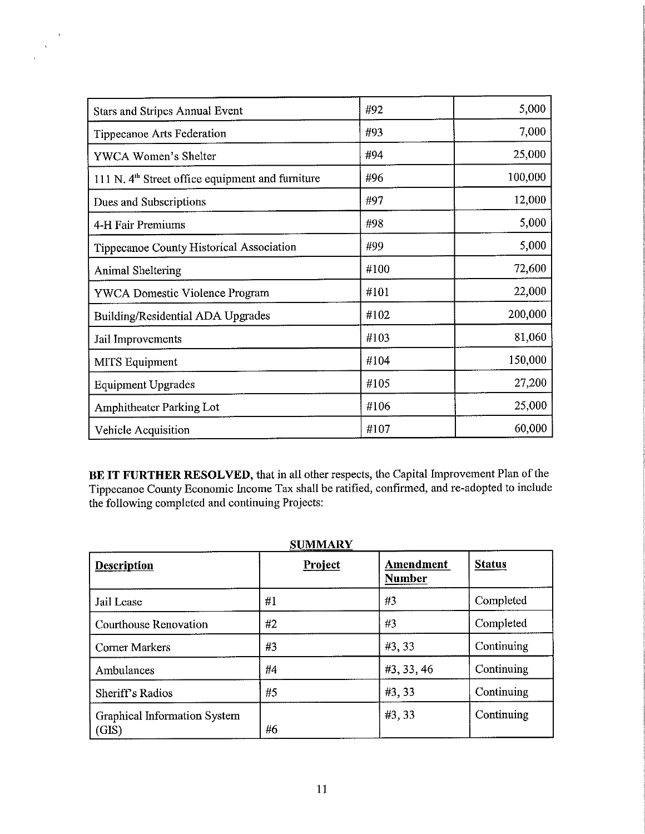| <b>Stars and Stripes Annual Event</b>                        | #92  | 5,000   |
|--------------------------------------------------------------|------|---------|
| <b>Tippecanoe Arts Federation</b>                            | #93  | 7,000   |
| YWCA Women's Shelter                                         | #94  | 25,000  |
| 111 N. 4 <sup>th</sup> Street office equipment and furniture | #96  | 100,000 |
| Dues and Subscriptions                                       | #97  | 12,000  |
| 4-H Fair Premiums                                            | #98  | 5,000   |
| Tippecanoe County Historical Association                     | #99  | 5,000   |
| <b>Animal Sheltering</b>                                     | #100 | 72,600  |
| <b>YWCA Domestic Violence Program</b>                        | #101 | 22,000  |
| Building/Residential ADA Upgrades                            | #102 | 200,000 |
| Jail Improvements                                            | #103 | 81,060  |
| <b>MITS</b> Equipment                                        | #104 | 150,000 |
| <b>Equipment Upgrades</b>                                    | #105 | 27,200  |
| Amphitheater Parking Lot                                     | #106 | 25,000  |
| Vehicle Acquisition                                          | #107 | 60,000  |

 $\bar{a}$  $\hat{\mathbf{v}}$ 

> BE IT FURTHER RESOLVED, that in all other respects, the Capital Improvement Plan of the Tippecanoe County Economic Income Tax shall be ratified, confirmed, and re-adopted to include the following completed and continuing Projects:

| <b>Description</b>                           | Project | <b>Amendment</b><br><b>Number</b> | <b>Status</b> |
|----------------------------------------------|---------|-----------------------------------|---------------|
| Jail Lease                                   | #1      | #3                                | Completed     |
| Courthouse Renovation                        | #2      | #3                                | Completed     |
| <b>Corner Markers</b>                        | #3      | #3,33                             | Continuing    |
| Ambulances                                   | #4      | #3, 33, 46                        | Continuing    |
| Sheriff's Radios                             | #5      | #3, 33                            | Continuing    |
| <b>Graphical Information System</b><br>(GIS) | #6      | #3,33                             | Continuing    |

SUMMARY DIY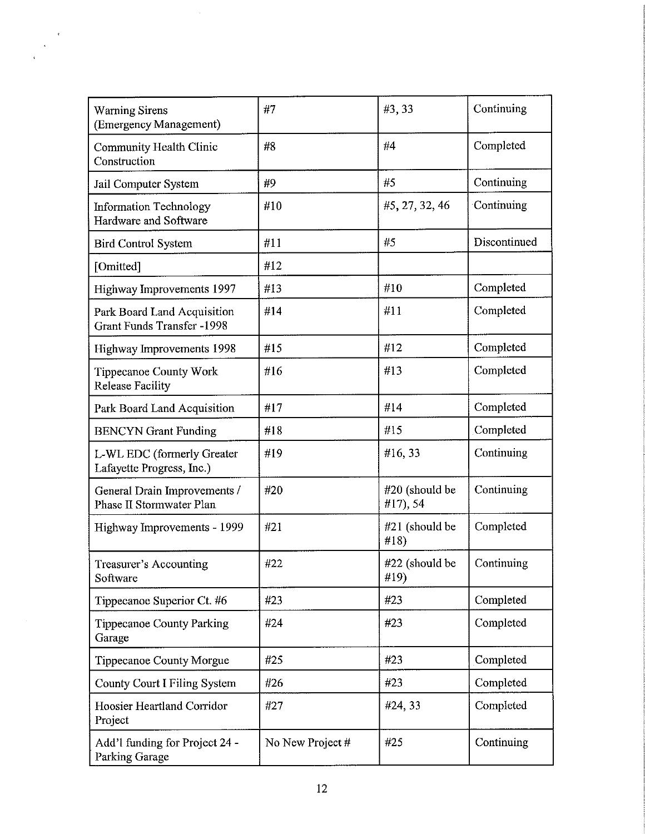| <b>Warning Sirens</b><br>(Emergency Management)                  | #7               | #3,33                      | Continuing   |
|------------------------------------------------------------------|------------------|----------------------------|--------------|
| Community Health Clinic<br>Construction                          | #8               | #4                         | Completed    |
| Jail Computer System                                             | #9               | #5                         | Continuing   |
| <b>Information Technology</b><br>Hardware and Software           | #10              | #5, 27, 32, 46             | Continuing   |
| <b>Bird Control System</b>                                       | #11              | #5                         | Discontinued |
| [Omitted]                                                        | #12              |                            |              |
| Highway Improvements 1997                                        | #13              | #10                        | Completed    |
| Park Board Land Acquisition<br><b>Grant Funds Transfer -1998</b> | #14              | #11                        | Completed    |
| Highway Improvements 1998                                        | #15              | #12                        | Completed    |
| <b>Tippecanoe County Work</b><br><b>Release Facility</b>         | #16              | #13                        | Completed    |
| Park Board Land Acquisition                                      | #17              | #14                        | Completed    |
| <b>BENCYN</b> Grant Funding                                      | #18              | #15                        | Completed    |
| L-WL EDC (formerly Greater<br>Lafayette Progress, Inc.)          | #19              | #16,33                     | Continuing   |
| General Drain Improvements /<br>Phase II Stormwater Plan         | #20              | #20 (should be<br>#17), 54 | Continuing   |
| Highway Improvements - 1999                                      | #21              | #21 (should be<br>#18)     | Completed    |
| Treasurer's Accounting<br>Software                               | #22              | #22 (should be<br>#19)     | Continuing   |
| Tippecanoe Superior Ct. #6                                       | #23              | #23                        | Completed    |
| <b>Tippecanoe County Parking</b><br>Garage                       | #24              | #23                        | Completed    |
| Tippecanoe County Morgue                                         | #25              | #23                        | Completed    |
| County Court I Filing System                                     | #26              | #23                        | Completed    |
| Hoosier Heartland Corridor<br>Project                            | #27              | #24, 33                    | Completed    |
| Add'l funding for Project 24 -<br>Parking Garage                 | No New Project # | #25                        | Continuing   |

 $\bar{\mathbf{v}}$  $\hat{\mathbf{v}}$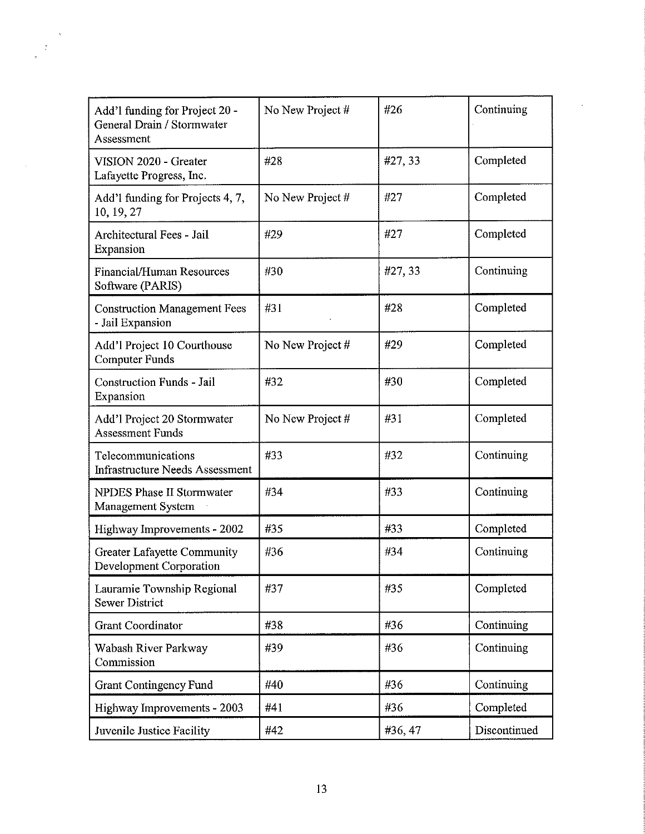| Add'l funding for Project 20 -<br>General Drain / Stormwater<br>Assessment | No New Project # | #26    | Continuing   |
|----------------------------------------------------------------------------|------------------|--------|--------------|
| VISION 2020 - Greater<br>Lafayette Progress, Inc.                          | #28              | #27,33 | Completed    |
| Add'l funding for Projects 4, 7,<br>10, 19, 27                             | No New Project # | #27    | Completed    |
| Architectural Fees - Jail<br>Expansion                                     | #29              | #27    | Completed    |
| <b>Financial/Human Resources</b><br>Software (PARIS)                       | #30              | #27,33 | Continuing   |
| <b>Construction Management Fees</b><br>- Jail Expansion                    | #31              | #28    | Completed    |
| Add'l Project 10 Courthouse<br><b>Computer Funds</b>                       | No New Project # | #29    | Completed    |
| <b>Construction Funds - Jail</b><br>Expansion                              | #32              | #30    | Completed    |
| Add'l Project 20 Stormwater<br><b>Assessment Funds</b>                     | No New Project # | #31    | Completed    |
| Telecommunications<br><b>Infrastructure Needs Assessment</b>               | #33              | #32    | Continuing   |
| <b>NPDES Phase II Stormwater</b><br>Management System                      | #34              | #33    | Continuing   |
| Highway Improvements - 2002                                                | #35              | #33    | Completed    |
| <b>Greater Lafayette Community</b><br>Development Corporation              | #36              | #34    | Continuing   |
| Lauramie Township Regional<br><b>Sewer District</b>                        | #37              | #35    | Completed    |
| <b>Grant Coordinator</b>                                                   | #38              | #36    | Continuing   |
| Wabash River Parkway<br>Commission                                         | #39              | #36    | Continuing   |
| <b>Grant Contingency Fund</b>                                              | #40              | #36    | Continuing   |
| Highway Improvements - 2003                                                | #41              | #36    | Completed    |
| Juvenile Justice Facility                                                  | #42              | #36,47 | Discontinued |

 $\mathcal{N}$  $\frac{1}{2}$  $\overline{a}$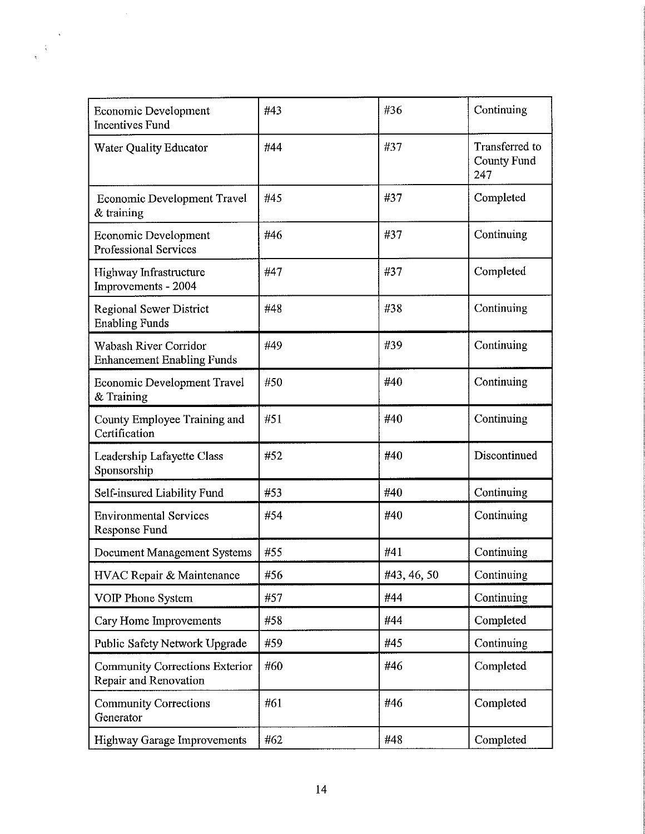| Economic Development<br><b>Incentives Fund</b>                 | #43 | #36         | Continuing                                  |
|----------------------------------------------------------------|-----|-------------|---------------------------------------------|
| Water Quality Educator                                         | #44 | #37         | Transferred to<br><b>County Fund</b><br>247 |
| <b>Economic Development Travel</b><br>& training               | #45 | #37         | Completed                                   |
| <b>Economic Development</b><br><b>Professional Services</b>    | #46 | #37         | Continuing                                  |
| Highway Infrastructure<br>Improvements - 2004                  | #47 | #37         | Completed                                   |
| <b>Regional Sewer District</b><br><b>Enabling Funds</b>        | #48 | #38         | Continuing                                  |
| Wabash River Corridor<br><b>Enhancement Enabling Funds</b>     | #49 | #39         | Continuing                                  |
| <b>Economic Development Travel</b><br>& Training               | #50 | #40         | Continuing                                  |
| County Employee Training and<br>Certification                  | #51 | #40         | Continuing                                  |
| Leadership Lafayette Class<br>Sponsorship                      | #52 | #40         | Discontinued                                |
| Self-insured Liability Fund                                    | #53 | #40         | Continuing                                  |
| <b>Environmental Services</b><br>Response Fund                 | #54 | #40         | Continuing                                  |
| Document Management Systems                                    | #55 | #41         | Continuing                                  |
| HVAC Repair & Maintenance                                      | #56 | #43, 46, 50 | Continuing                                  |
| <b>VOIP Phone System</b>                                       | #57 | #44         | Continuing                                  |
| Cary Home Improvements                                         | #58 | #44         | Completed                                   |
| Public Safety Network Upgrade                                  | #59 | #45         | Continuing                                  |
| <b>Community Corrections Exterior</b><br>Repair and Renovation | #60 | #46         | Completed                                   |
| <b>Community Corrections</b><br>Generator                      | #61 | #46         | Completed                                   |
| <b>Highway Garage Improvements</b>                             | #62 | #48         | Completed                                   |

 $\langle s \rangle$ 

 $\frac{1}{2}$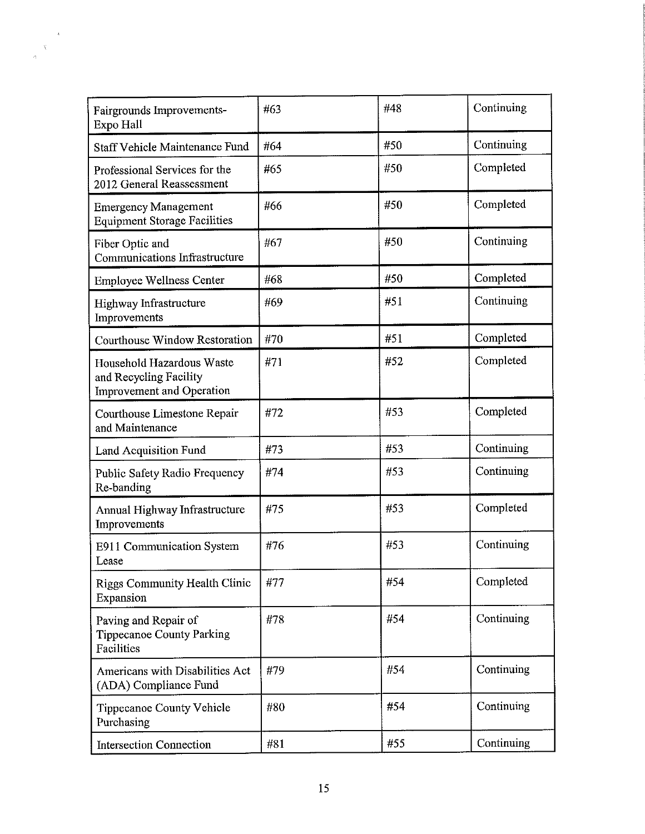| Fairgrounds Improvements-<br>Expo Hall                                           | #63 | #48 | Continuing        |
|----------------------------------------------------------------------------------|-----|-----|-------------------|
| <b>Staff Vehicle Maintenance Fund</b>                                            | #64 | #50 | Continuing        |
| Professional Services for the<br>2012 General Reassessment                       | #65 | #50 | Completed         |
| <b>Emergency Management</b><br><b>Equipment Storage Facilities</b>               | #66 | #50 | Completed         |
| Fiber Optic and<br>Communications Infrastructure                                 | #67 | #50 | Continuing        |
| <b>Employee Wellness Center</b>                                                  | #68 | #50 | Completed         |
| Highway Infrastructure<br>Improvements                                           | #69 | #51 | Continuing        |
| Courthouse Window Restoration                                                    | #70 | #51 | Completed         |
| Household Hazardous Waste<br>and Recycling Facility<br>Improvement and Operation | #71 | #52 | Completed         |
| Courthouse Limestone Repair<br>and Maintenance                                   | #72 | #53 | Completed         |
| Land Acquisition Fund                                                            | #73 | #53 | Continuing        |
| Public Safety Radio Frequency<br>Re-banding                                      | #74 | #53 | Continuing        |
| Annual Highway Infrastructure<br>Improvements                                    | #75 | #53 | Completed         |
| E911 Communication System<br>Lease                                               | #76 | #53 | Continuing        |
| <b>Riggs Community Health Clinic</b><br>Expansion                                | #77 | #54 | Completed         |
| Paving and Repair of<br><b>Tippecanoe County Parking</b><br>Facilities           | #78 | #54 | Continuing        |
| Americans with Disabilities Act<br>(ADA) Compliance Fund                         | #79 | #54 | Continuing        |
| Tippecanoe County Vehicle<br>Purchasing                                          | #80 | #54 | Continuing        |
| <b>Intersection Connection</b>                                                   | #81 | #55 | <b>Continuing</b> |

 $\sim$   $\epsilon$ 

 $\frac{1}{\sqrt{2}}$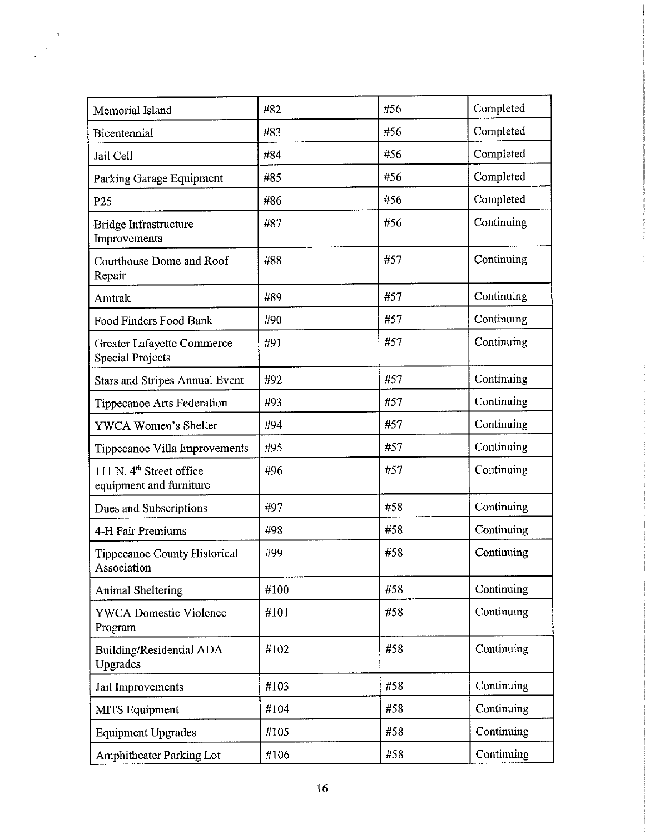| Memorial Island                                                 | #82  | #56 | Completed  |
|-----------------------------------------------------------------|------|-----|------------|
| Bicentennial                                                    | #83  | #56 | Completed  |
| Jail Cell                                                       | #84  | #56 | Completed  |
| Parking Garage Equipment                                        | #85  | #56 | Completed  |
| P <sub>25</sub>                                                 | #86  | #56 | Completed  |
| Bridge Infrastructure<br>Improvements                           | #87  | #56 | Continuing |
| Courthouse Dome and Roof<br>Repair                              | #88  | #57 | Continuing |
| Amtrak                                                          | #89  | #57 | Continuing |
| <b>Food Finders Food Bank</b>                                   | #90  | #57 | Continuing |
| Greater Lafayette Commerce<br><b>Special Projects</b>           | #91  | #57 | Continuing |
| <b>Stars and Stripes Annual Event</b>                           | #92  | #57 | Continuing |
| Tippecanoe Arts Federation                                      | #93  | #57 | Continuing |
| YWCA Women's Shelter                                            | #94  | #57 | Continuing |
| Tippecanoe Villa Improvements                                   | #95  | #57 | Continuing |
| 111 N. 4 <sup>th</sup> Street office<br>equipment and furniture | #96  | #57 | Continuing |
| Dues and Subscriptions                                          | #97  | #58 | Continuing |
| 4-H Fair Premiums                                               | #98  | #58 | Continuing |
| Tippecanoe County Historical<br>Association                     | #99  | #58 | Continuing |
| <b>Animal Sheltering</b>                                        | #100 | #58 | Continuing |
| <b>YWCA Domestic Violence</b><br>Program                        | #101 | #58 | Continuing |
| Building/Residential ADA<br>Upgrades                            | #102 | #58 | Continuing |
| Jail Improvements                                               | #103 | #58 | Continuing |
| MITS Equipment                                                  | #104 | #58 | Continuing |
| <b>Equipment Upgrades</b>                                       | #105 | #58 | Continuing |
| Amphitheater Parking Lot                                        | #106 | #58 | Continuing |

 $\frac{a}{\sqrt{2}}$  $\frac{\Delta \vec{X}}{\Delta \vec{X}}$